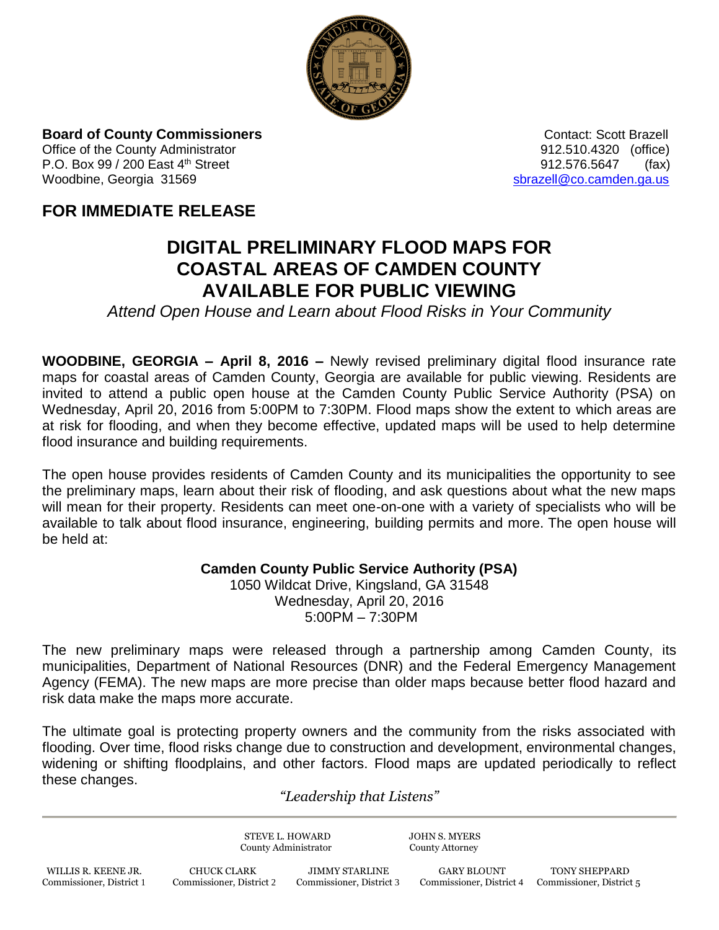

**Board of County Commissioners Contact: Scott Brazell Contact: Scott Brazell** Office of the County Administrator 912.510.4320 (office) P.O. Box 99 / 200 East 4<sup>th</sup> Street 61 Apr 200 East 4<sup>th</sup> Street 912.576.5647 (fax) Woodbine, Georgia 31569 [sbrazell@co.camden.ga.us](mailto:sbrazell@co.camden.ga.us)

## **FOR IMMEDIATE RELEASE**

## **DIGITAL PRELIMINARY FLOOD MAPS FOR COASTAL AREAS OF CAMDEN COUNTY AVAILABLE FOR PUBLIC VIEWING**

*Attend Open House and Learn about Flood Risks in Your Community*

**WOODBINE, GEORGIA – April 8, 2016 –** Newly revised preliminary digital flood insurance rate maps for coastal areas of Camden County, Georgia are available for public viewing. Residents are invited to attend a public open house at the Camden County Public Service Authority (PSA) on Wednesday, April 20, 2016 from 5:00PM to 7:30PM. Flood maps show the extent to which areas are at risk for flooding, and when they become effective, updated maps will be used to help determine flood insurance and building requirements.

The open house provides residents of Camden County and its municipalities the opportunity to see the preliminary maps, learn about their risk of flooding, and ask questions about what the new maps will mean for their property. Residents can meet one-on-one with a variety of specialists who will be available to talk about flood insurance, engineering, building permits and more. The open house will be held at:

## **Camden County Public Service Authority (PSA)**

1050 Wildcat Drive, Kingsland, GA 31548 Wednesday, April 20, 2016 5:00PM – 7:30PM

The new preliminary maps were released through a partnership among Camden County, its municipalities, Department of National Resources (DNR) and the Federal Emergency Management Agency (FEMA). The new maps are more precise than older maps because better flood hazard and risk data make the maps more accurate.

The ultimate goal is protecting property owners and the community from the risks associated with flooding. Over time, flood risks change due to construction and development, environmental changes, widening or shifting floodplains, and other factors. Flood maps are updated periodically to reflect these changes.

## *"Leadership that Listens"*

STEVE L. HOWARD JOHN S. MYERS County Administrator County Attorney

 WILLIS R. KEENE JR. CHUCK CLARK JIMMY STARLINE GARY BLOUNT TONY SHEPPARD Commissioner, District 1 Commissioner, District 2 Commissioner, District 3 Commissioner, District 4 Commissioner, District 5